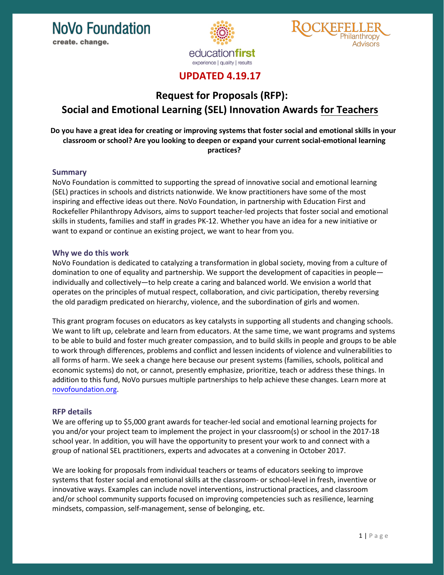



## **UPDATED 4.19.17**

# **Request for Proposals (RFP): Social and Emotional Learning (SEL) Innovation Awards for Teachers**

## **Do you have a great idea for creating or improving systems that foster social and emotional skills in your classroom or school? Are you looking to deepen or expand your current social-emotional learning practices?**

## **Summary**

NoVo Foundation is committed to supporting the spread of innovative social and emotional learning (SEL) practices in schools and districts nationwide. We know practitioners have some of the most inspiring and effective ideas out there. NoVo Foundation, in partnership with Education First and Rockefeller Philanthropy Advisors, aims to support teacher-led projects that foster social and emotional skills in students, families and staff in grades PK-12. Whether you have an idea for a new initiative or want to expand or continue an existing project, we want to hear from you.

## **Why we do this work**

NoVo Foundation is dedicated to catalyzing a transformation in global society, moving from a culture of domination to one of equality and partnership. We support the development of capacities in people individually and collectively—to help create a caring and balanced world. We envision a world that operates on the principles of mutual respect, collaboration, and civic participation, thereby reversing the old paradigm predicated on hierarchy, violence, and the subordination of girls and women.

This grant program focuses on educators as key catalysts in supporting all students and changing schools. We want to lift up, celebrate and learn from educators. At the same time, we want programs and systems to be able to build and foster much greater compassion, and to build skills in people and groups to be able to work through differences, problems and conflict and lessen incidents of violence and vulnerabilities to all forms of harm. We seek a change here because our present systems (families, schools, political and economic systems) do not, or cannot, presently emphasize, prioritize, teach or address these things. In addition to this fund, NoVo pursues multiple partnerships to help achieve these changes. Learn more at [novofoundation.org.](http://novofoundation.org/)

## **RFP details**

We are offering up to \$5,000 grant awards for teacher-led social and emotional learning projects for you and/or your project team to implement the project in your classroom(s) or school in the 2017-18 school year. In addition, you will have the opportunity to present your work to and connect with a group of national SEL practitioners, experts and advocates at a convening in October 2017.

We are looking for proposals from individual teachers or teams of educators seeking to improve systems that foster social and emotional skills at the classroom- or school-level in fresh, inventive or innovative ways. Examples can include novel interventions, instructional practices, and classroom and/or school community supports focused on improving competencies such as resilience, learning mindsets, compassion, self-management, sense of belonging, etc.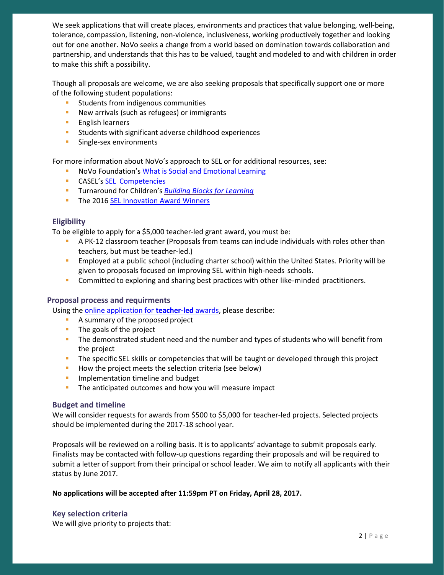We seek applications that will create places, environments and practices that value belonging, well-being, tolerance, compassion, listening, non-violence, inclusiveness, working productively together and looking out for one another. NoVo seeks a change from a world based on domination towards collaboration and partnership, and understands that this has to be valued, taught and modeled to and with children in order to make this shift a possibility.

Though all proposals are welcome, we are also seeking proposals that specifically support one or more of the following student populations:

- Students from indigenous communities
- **New arrivals (such as refugees) or immigrants**
- **English learners**
- **Students with significant adverse childhood experiences**
- **Single-sex environments**

For more information about NoVo's approach to SEL or for additional resources, see:

- **NoVo Foundation's [What is Social and Emotional Learning](http://novofoundation.org/advancing-social-and-emotional-learning/what-is-social-and-emotional-learning/)**
- **CASEL's SEL [Competencies](http://www.casel.org/social-and-emotional-learning/core-competencies/)**
- Turnaround for Children's *[Building Blocks for](http://turnaroundusa.org/wp-content/uploads/2016/03/Turnaround-for-Children-Building-Blocks-for-Learningx-2.pdf) Learning*
- The 2016 [SEL Innovation Award Winners](http://education-first.com/social-emotional-learning-innovation-fund/)

## **Eligibility**

To be eligible to apply for a \$5,000 teacher-led grant award, you must be:

- A PK-12 classroom teacher (Proposals from teams can include individuals with roles other than teachers, but must be teacher-led.)
- Employed at a public school (including charter school) within the United States. Priority will be given to proposals focused on improving SEL within high-needs schools.
- **Committed to exploring and sharing best practices with other like-minded practitioners.**

#### **Proposal process and requirments**

Using the [online application](http://bit.ly/2lTT9am) for **teacher-led** awards, please describe:

- A summary of the proposed project
- $\blacksquare$  The goals of the project
- The demonstrated student need and the number and types of students who will benefit from the project
- The specific SEL skills or competencies that will be taught or developed through this project
- How the project meets the selection criteria (see below)
- **Implementation timeline and budget**
- The anticipated outcomes and how you will measure impact

#### **Budget and timeline**

We will consider requests for awards from \$500 to \$5,000 for teacher-led projects. Selected projects should be implemented during the 2017-18 school year.

Proposals will be reviewed on a rolling basis. It is to applicants' advantage to submit proposals early. Finalists may be contacted with follow-up questions regarding their proposals and will be required to submit a letter of support from their principal or school leader. We aim to notify all applicants with their status by June 2017.

#### **No applications will be accepted after 11:59pm PT on Friday, April 28, 2017.**

## **Key selection criteria**

We will give priority to projects that: